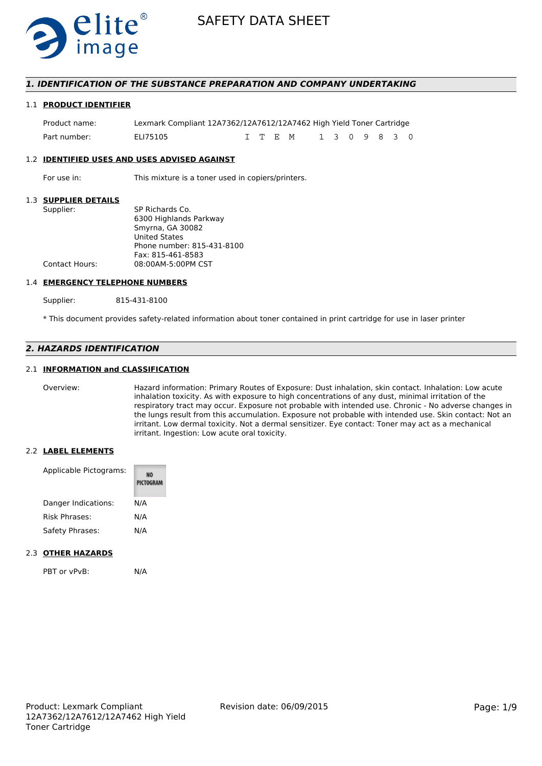

# *1. IDENTIFICATION OF THE SUBSTANCE PREPARATION AND COMPANY UNDERTAKING*

#### 1.1 **PRODUCT IDENTIFIER**

| Product name: | Lexmark Compliant 12A7362/12A7612/12A7462 High Yield Toner Cartridge |  |          |               |  |  |  |
|---------------|----------------------------------------------------------------------|--|----------|---------------|--|--|--|
| Part number:  | ELI75105                                                             |  | T T F. M | 1 3 0 9 8 3 0 |  |  |  |

#### 1.2 **IDENTIFIED USES AND USES ADVISED AGAINST**

For use in: This mixture is a toner used in copiers/printers.

# 1.3 **SUPPLIER DETAILS**

| Supplier:      | SP Richards Co.            |
|----------------|----------------------------|
|                | 6300 Highlands Parkway     |
|                | Smyrna, GA 30082           |
|                | <b>United States</b>       |
|                | Phone number: 815-431-8100 |
|                | Fax: 815-461-8583          |
| Contact Hours: | 08:00AM-5:00PM CST         |
|                |                            |

#### 1.4 **EMERGENCY TELEPHONE NUMBERS**

Supplier: 815-431-8100

\* This document provides safety-related information about toner contained in print cartridge for use in laser printer

# *2. HAZARDS IDENTIFICATION*

# 2.1 **INFORMATION and CLASSIFICATION**

Overview: Hazard information: Primary Routes of Exposure: Dust inhalation, skin contact. Inhalation: Low acute inhalation toxicity. As with exposure to high concentrations of any dust, minimal irritation of the respiratory tract may occur. Exposure not probable with intended use. Chronic - No adverse changes in the lungs result from this accumulation. Exposure not probable with intended use. Skin contact: Not an irritant. Low dermal toxicity. Not a dermal sensitizer. Eye contact: Toner may act as a mechanical irritant. Ingestion: Low acute oral toxicity.

#### 2.2 **LABEL ELEMENTS**

| Applicable Pictograms: | PICTOGRAM |  |  |
|------------------------|-----------|--|--|
| Danger Indications:    | N/A       |  |  |
| Risk Phrases:          | N/A       |  |  |
| Safety Phrases:        | N/A       |  |  |

#### 2.3 **OTHER HAZARDS**

PBT or vPvB: N/A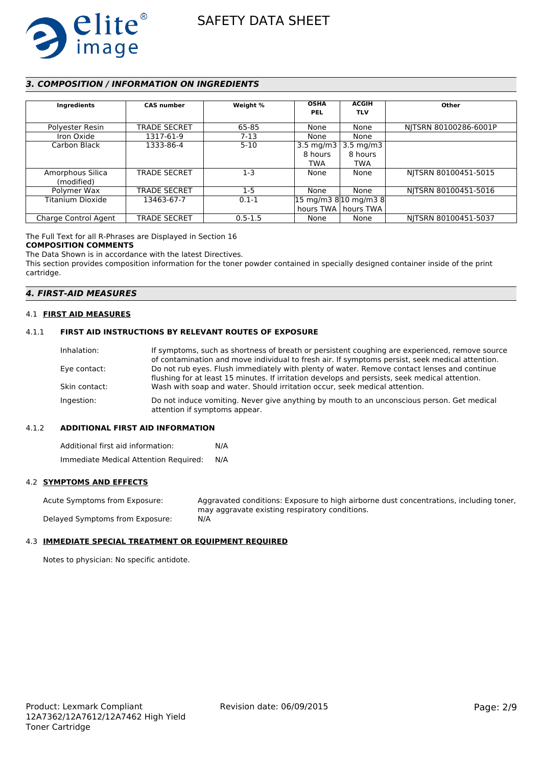

# *3. COMPOSITION / INFORMATION ON INGREDIENTS*

| Ingredients          | <b>CAS number</b>   | Weight %    | <b>OSHA</b><br><b>PEL</b> | <b>ACGIH</b><br><b>TLV</b>                                | Other                 |
|----------------------|---------------------|-------------|---------------------------|-----------------------------------------------------------|-----------------------|
| Polyester Resin      | <b>TRADE SECRET</b> | 65-85       | None                      | None                                                      | NITSRN 80100286-6001P |
| Iron Oxide           | 1317-61-9           | $7-13$      | None                      | None                                                      |                       |
| Carbon Black         | 1333-86-4           | $5-10$      | 3.5 mg/m $3$              | 3.5 mg/m3                                                 |                       |
|                      |                     |             | 8 hours                   | 8 hours                                                   |                       |
|                      |                     |             | <b>TWA</b>                | TWA                                                       |                       |
| Amorphous Silica     | <b>TRADE SECRET</b> | $1 - 3$     | None                      | None                                                      | NITSRN 80100451-5015  |
| (modified)           |                     |             |                           |                                                           |                       |
| Polymer Wax          | <b>TRADE SECRET</b> | $1-5$       | None                      | None                                                      | NITSRN 80100451-5016  |
| Titanium Dioxide     | 13463-67-7          | $0.1 - 1$   |                           | $ 15 \text{ mg/m}3 \text{ 8} 10 \text{ mg/m}3 \text{ 8} $ |                       |
|                      |                     |             |                           | hours TWA   hours TWA                                     |                       |
| Charge Control Agent | <b>TRADE SECRET</b> | $0.5 - 1.5$ | None                      | None                                                      | NITSRN 80100451-5037  |

The Full Text for all R-Phrases are Displayed in Section 16

#### **COMPOSITION COMMENTS**

The Data Shown is in accordance with the latest Directives.

This section provides composition information for the toner powder contained in specially designed container inside of the print cartridge.

# *4. FIRST-AID MEASURES*

#### 4.1 **FIRST AID MEASURES**

#### 4.1.1 **FIRST AID INSTRUCTIONS BY RELEVANT ROUTES OF EXPOSURE**

| If symptoms, such as shortness of breath or persistent coughing are experienced, remove source                              |
|-----------------------------------------------------------------------------------------------------------------------------|
| of contamination and move individual to fresh air. If symptoms persist, seek medical attention.                             |
| Do not rub eyes. Flush immediately with plenty of water. Remove contact lenses and continue                                 |
| flushing for at least 15 minutes. If irritation develops and persists, seek medical attention.                              |
| Wash with soap and water. Should irritation occur, seek medical attention.                                                  |
| Do not induce vomiting. Never give anything by mouth to an unconscious person. Get medical<br>attention if symptoms appear. |
|                                                                                                                             |

#### 4.1.2 **ADDITIONAL FIRST AID INFORMATION**

Additional first aid information: N/A Immediate Medical Attention Required: N/A

### 4.2 **SYMPTOMS AND EFFECTS**

Acute Symptoms from Exposure: Aggravated conditions: Exposure to high airborne dust concentrations, including toner, may aggravate existing respiratory conditions. Delayed Symptoms from Exposure: N/A

# 4.3 **IMMEDIATE SPECIAL TREATMENT OR EQUIPMENT REQUIRED**

Notes to physician: No specific antidote.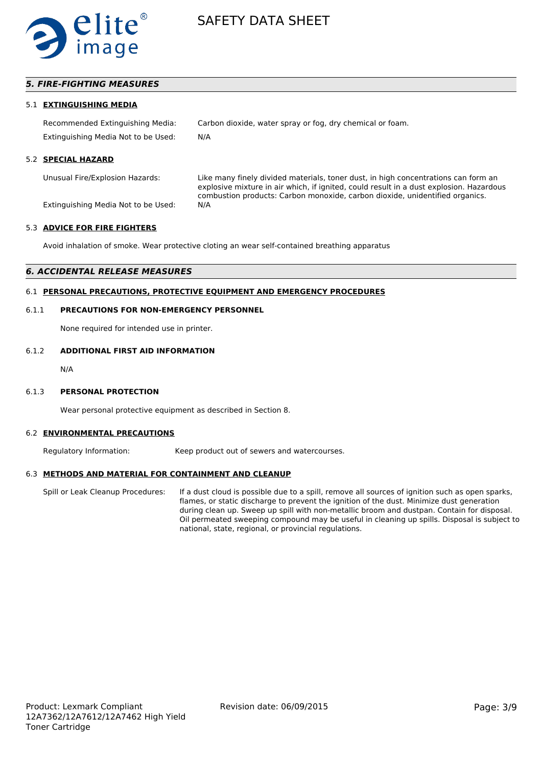

# *5. FIRE-FIGHTING MEASURES*

#### 5.1 **EXTINGUISHING MEDIA**

Recommended Extinguishing Media: Carbon dioxide, water spray or fog, dry chemical or foam. Extinguishing Media Not to be Used: N/A

#### 5.2 **SPECIAL HAZARD**

Unusual Fire/Explosion Hazards: Like many finely divided materials, toner dust, in high concentrations can form an explosive mixture in air which, if ignited, could result in a dust explosion. Hazardous combustion products: Carbon monoxide, carbon dioxide, unidentified organics.

Extinguishing Media Not to be Used: N/A

#### 5.3 **ADVICE FOR FIRE FIGHTERS**

Avoid inhalation of smoke. Wear protective cloting an wear self-contained breathing apparatus

#### *6. ACCIDENTAL RELEASE MEASURES*

## 6.1 **PERSONAL PRECAUTIONS, PROTECTIVE EQUIPMENT AND EMERGENCY PROCEDURES**

#### 6.1.1 **PRECAUTIONS FOR NON-EMERGENCY PERSONNEL**

None required for intended use in printer.

# 6.1.2 **ADDITIONAL FIRST AID INFORMATION**

N/A

#### 6.1.3 **PERSONAL PROTECTION**

Wear personal protective equipment as described in Section 8.

#### 6.2 **ENVIRONMENTAL PRECAUTIONS**

Regulatory Information: Keep product out of sewers and watercourses.

#### 6.3 **METHODS AND MATERIAL FOR CONTAINMENT AND CLEANUP**

Spill or Leak Cleanup Procedures: If a dust cloud is possible due to a spill, remove all sources of ignition such as open sparks, flames, or static discharge to prevent the ignition of the dust. Minimize dust generation during clean up. Sweep up spill with non-metallic broom and dustpan. Contain for disposal. Oil permeated sweeping compound may be useful in cleaning up spills. Disposal is subject to national, state, regional, or provincial regulations.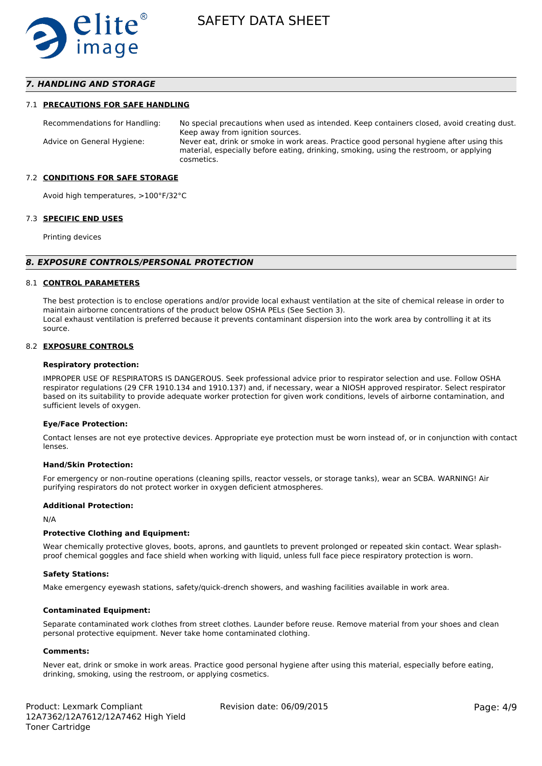

# *7. HANDLING AND STORAGE*

#### 7.1 **PRECAUTIONS FOR SAFE HANDLING**

Recommendations for Handling: No special precautions when used as intended. Keep containers closed, avoid creating dust. Keep away from ignition sources. Advice on General Hygiene: Never eat, drink or smoke in work areas. Practice good personal hygiene after using this material, especially before eating, drinking, smoking, using the restroom, or applying cosmetics.

#### 7.2 **CONDITIONS FOR SAFE STORAGE**

Avoid high temperatures, >100°F/32°C

#### 7.3 **SPECIFIC END USES**

Printing devices

#### *8. EXPOSURE CONTROLS/PERSONAL PROTECTION*

#### 8.1 **CONTROL PARAMETERS**

The best protection is to enclose operations and/or provide local exhaust ventilation at the site of chemical release in order to maintain airborne concentrations of the product below OSHA PELs (See Section 3). Local exhaust ventilation is preferred because it prevents contaminant dispersion into the work area by controlling it at its source.

#### 8.2 **EXPOSURE CONTROLS**

#### **Respiratory protection:**

IMPROPER USE OF RESPIRATORS IS DANGEROUS. Seek professional advice prior to respirator selection and use. Follow OSHA respirator regulations (29 CFR 1910.134 and 1910.137) and, if necessary, wear a NIOSH approved respirator. Select respirator based on its suitability to provide adequate worker protection for given work conditions, levels of airborne contamination, and sufficient levels of oxygen.

#### **Eye/Face Protection:**

Contact lenses are not eye protective devices. Appropriate eye protection must be worn instead of, or in conjunction with contact lenses.

#### **Hand/Skin Protection:**

For emergency or non-routine operations (cleaning spills, reactor vessels, or storage tanks), wear an SCBA. WARNING! Air purifying respirators do not protect worker in oxygen deficient atmospheres.

### **Additional Protection:**

N/A

#### **Protective Clothing and Equipment:**

Wear chemically protective gloves, boots, aprons, and gauntlets to prevent prolonged or repeated skin contact. Wear splashproof chemical goggles and face shield when working with liquid, unless full face piece respiratory protection is worn.

#### **Safety Stations:**

Make emergency eyewash stations, safety/quick-drench showers, and washing facilities available in work area.

#### **Contaminated Equipment:**

Separate contaminated work clothes from street clothes. Launder before reuse. Remove material from your shoes and clean personal protective equipment. Never take home contaminated clothing.

#### **Comments:**

Never eat, drink or smoke in work areas. Practice good personal hygiene after using this material, especially before eating, drinking, smoking, using the restroom, or applying cosmetics.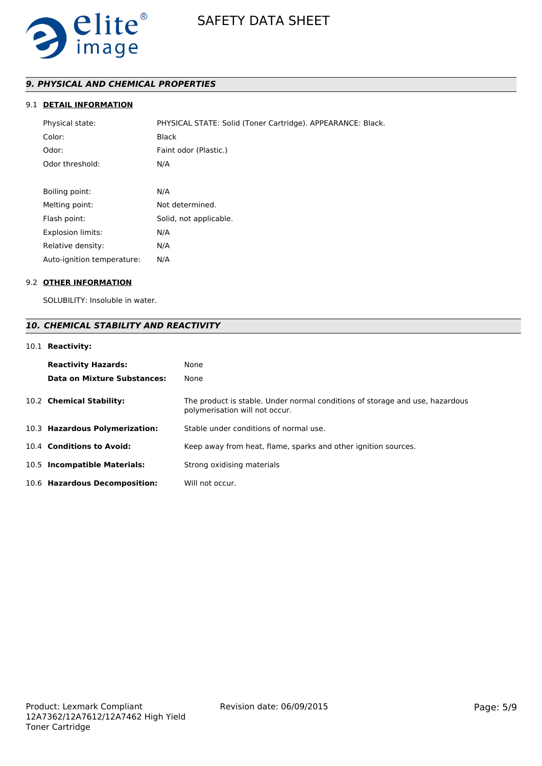

# *9. PHYSICAL AND CHEMICAL PROPERTIES*

# 9.1 **DETAIL INFORMATION**

| Physical state:            | PHYSICAL STATE: Solid (Toner Cartridge). APPEARANCE: Black. |
|----------------------------|-------------------------------------------------------------|
| Color:                     | <b>Black</b>                                                |
| Odor:                      | Faint odor (Plastic.)                                       |
| Odor threshold:            | N/A                                                         |
|                            |                                                             |
| Boiling point:             | N/A                                                         |
| Melting point:             | Not determined.                                             |
| Flash point:               | Solid, not applicable.                                      |
| <b>Explosion limits:</b>   | N/A                                                         |
| Relative density:          | N/A                                                         |
| Auto-ignition temperature: | N/A                                                         |

#### 9.2 **OTHER INFORMATION**

SOLUBILITY: Insoluble in water.

# *10. CHEMICAL STABILITY AND REACTIVITY*

# 10.1 **Reactivity:**

| <b>Reactivity Hazards:</b><br>Data on Mixture Substances: | None<br>None                                                                                                   |
|-----------------------------------------------------------|----------------------------------------------------------------------------------------------------------------|
| 10.2 Chemical Stability:                                  | The product is stable. Under normal conditions of storage and use, hazardous<br>polymerisation will not occur. |
| 10.3 Hazardous Polymerization:                            | Stable under conditions of normal use.                                                                         |
| 10.4 Conditions to Avoid:                                 | Keep away from heat, flame, sparks and other ignition sources.                                                 |
| 10.5 Incompatible Materials:                              | Strong oxidising materials                                                                                     |
| 10.6 Hazardous Decomposition:                             | Will not occur.                                                                                                |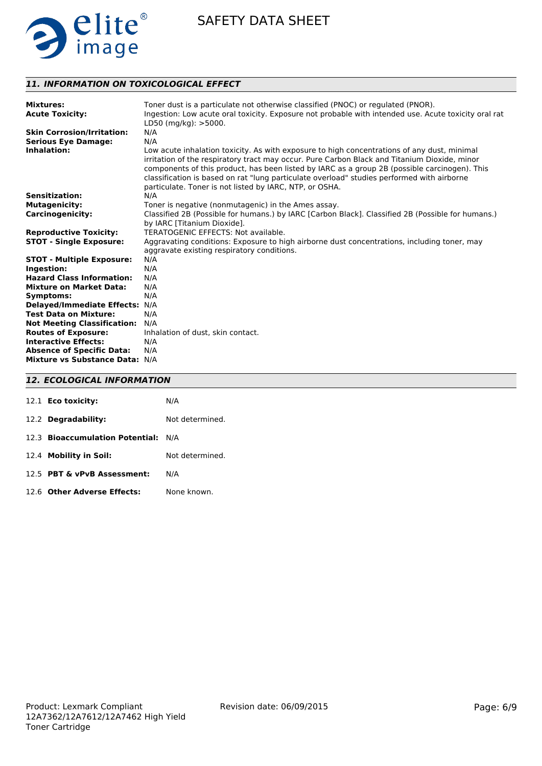

# *11. INFORMATION ON TOXICOLOGICAL EFFECT*

| <b>Mixtures:</b><br><b>Acute Toxicity:</b> | Toner dust is a particulate not otherwise classified (PNOC) or regulated (PNOR).<br>Ingestion: Low acute oral toxicity. Exposure not probable with intended use. Acute toxicity oral rat<br>LD50 (mg/kg): >5000.                                                                                                                                                                                                                                      |
|--------------------------------------------|-------------------------------------------------------------------------------------------------------------------------------------------------------------------------------------------------------------------------------------------------------------------------------------------------------------------------------------------------------------------------------------------------------------------------------------------------------|
| <b>Skin Corrosion/Irritation:</b>          | N/A                                                                                                                                                                                                                                                                                                                                                                                                                                                   |
| <b>Serious Eye Damage:</b>                 | N/A                                                                                                                                                                                                                                                                                                                                                                                                                                                   |
| Inhalation:                                | Low acute inhalation toxicity. As with exposure to high concentrations of any dust, minimal<br>irritation of the respiratory tract may occur. Pure Carbon Black and Titanium Dioxide, minor<br>components of this product, has been listed by IARC as a group 2B (possible carcinogen). This<br>classification is based on rat "lung particulate overload" studies performed with airborne<br>particulate. Toner is not listed by IARC, NTP, or OSHA. |
| <b>Sensitization:</b>                      | N/A                                                                                                                                                                                                                                                                                                                                                                                                                                                   |
| <b>Mutagenicity:</b>                       | Toner is negative (nonmutagenic) in the Ames assay.                                                                                                                                                                                                                                                                                                                                                                                                   |
| <b>Carcinogenicity:</b>                    | Classified 2B (Possible for humans.) by IARC [Carbon Black]. Classified 2B (Possible for humans.)<br>by IARC [Titanium Dioxide].                                                                                                                                                                                                                                                                                                                      |
| <b>Reproductive Toxicity:</b>              | TERATOGENIC EFFECTS: Not available.                                                                                                                                                                                                                                                                                                                                                                                                                   |
| <b>STOT - Single Exposure:</b>             | Aggravating conditions: Exposure to high airborne dust concentrations, including toner, may<br>aggravate existing respiratory conditions.                                                                                                                                                                                                                                                                                                             |
| <b>STOT - Multiple Exposure:</b>           | N/A                                                                                                                                                                                                                                                                                                                                                                                                                                                   |
| Ingestion:                                 | N/A                                                                                                                                                                                                                                                                                                                                                                                                                                                   |
| <b>Hazard Class Information:</b>           | N/A                                                                                                                                                                                                                                                                                                                                                                                                                                                   |
| <b>Mixture on Market Data:</b>             | N/A                                                                                                                                                                                                                                                                                                                                                                                                                                                   |
| <b>Symptoms:</b>                           | N/A                                                                                                                                                                                                                                                                                                                                                                                                                                                   |
| <b>Delayed/Immediate Effects:</b>          | N/A                                                                                                                                                                                                                                                                                                                                                                                                                                                   |
| <b>Test Data on Mixture:</b>               | N/A                                                                                                                                                                                                                                                                                                                                                                                                                                                   |
| <b>Not Meeting Classification:</b>         | N/A                                                                                                                                                                                                                                                                                                                                                                                                                                                   |
| <b>Routes of Exposure:</b>                 | Inhalation of dust, skin contact.                                                                                                                                                                                                                                                                                                                                                                                                                     |
| <b>Interactive Effects:</b>                | N/A                                                                                                                                                                                                                                                                                                                                                                                                                                                   |
| <b>Absence of Specific Data:</b>           | N/A                                                                                                                                                                                                                                                                                                                                                                                                                                                   |
| Mixture vs Substance Data: N/A             |                                                                                                                                                                                                                                                                                                                                                                                                                                                       |

# *12. ECOLOGICAL INFORMATION*

| 12.1 <b>Eco toxicity:</b>           | N/A             |
|-------------------------------------|-----------------|
| 12.2 Degradability:                 | Not determined. |
| 12.3 Bioaccumulation Potential: N/A |                 |
| 12.4 Mobility in Soil:              | Not determined. |
| 12.5 PBT & vPvB Assessment:         | N/A             |
| 12.6 Other Adverse Effects:         | None known.     |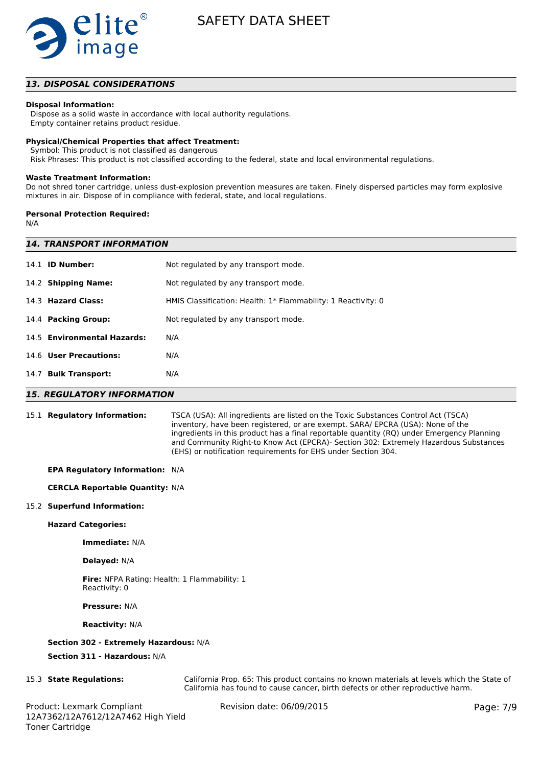

## *13. DISPOSAL CONSIDERATIONS*

#### **Disposal Information:**

 Dispose as a solid waste in accordance with local authority regulations. Empty container retains product residue.

# **Physical/Chemical Properties that affect Treatment:**

Symbol: This product is not classified as dangerous

Risk Phrases: This product is not classified according to the federal, state and local environmental regulations.

#### **Waste Treatment Information:**

Do not shred toner cartridge, unless dust-explosion prevention measures are taken. Finely dispersed particles may form explosive mixtures in air. Dispose of in compliance with federal, state, and local regulations.

#### **Personal Protection Required:**

N/A

| <b>14. TRANSPORT INFORMATION</b> |                                                               |  |  |  |
|----------------------------------|---------------------------------------------------------------|--|--|--|
| 14.1 <b>ID Number:</b>           | Not regulated by any transport mode.                          |  |  |  |
| 14.2 Shipping Name:              | Not regulated by any transport mode.                          |  |  |  |
| 14.3 Hazard Class:               | HMIS Classification: Health: 1* Flammability: 1 Reactivity: 0 |  |  |  |
| 14.4 Packing Group:              | Not regulated by any transport mode.                          |  |  |  |
| 14.5 Environmental Hazards:      | N/A                                                           |  |  |  |
| 14.6 User Precautions:           | N/A                                                           |  |  |  |
| <b>Bulk Transport:</b><br>14.7   | N/A                                                           |  |  |  |
|                                  |                                                               |  |  |  |

## *15. REGULATORY INFORMATION*

15.1 **Regulatory Information:** TSCA (USA): All ingredients are listed on the Toxic Substances Control Act (TSCA) inventory, have been registered, or are exempt. SARA/ EPCRA (USA): None of the ingredients in this product has a final reportable quantity (RQ) under Emergency Planning and Community Right-to Know Act (EPCRA)- Section 302: Extremely Hazardous Substances (EHS) or notification requirements for EHS under Section 304.

### **EPA Regulatory Information:** N/A

#### **CERCLA Reportable Quantity:** N/A

#### 15.2 **Superfund Information:**

#### **Hazard Categories:**

**Immediate:** N/A

#### **Delayed:** N/A

**Fire:** NFPA Rating: Health: 1 Flammability: 1 Reactivity: 0

**Pressure:** N/A

#### **Reactivity:** N/A

## **Section 302 - Extremely Hazardous:** N/A

**Section 311 - Hazardous:** N/A

15.3 **State Regulations:** California Prop. 65: This product contains no known materials at levels which the State of California has found to cause cancer, birth defects or other reproductive harm.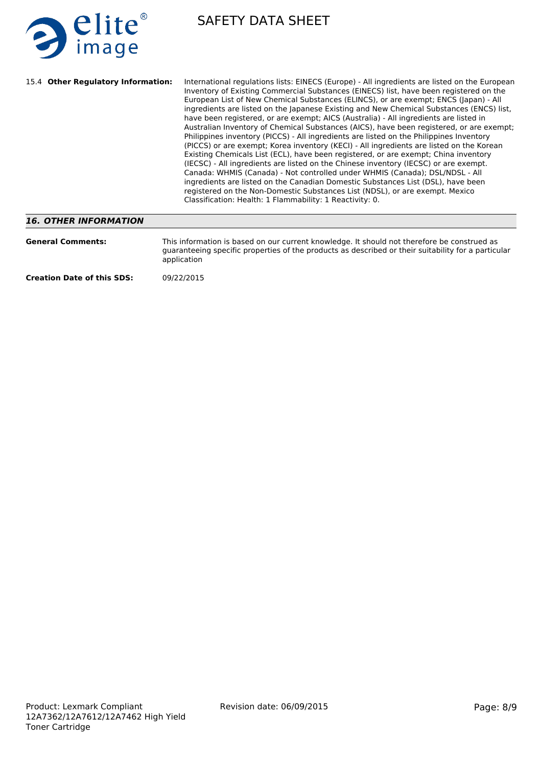

| 15.4 Other Regulatory Information: | International regulations lists: EINECS (Europe) - All ingredients are listed on the European<br>Inventory of Existing Commercial Substances (EINECS) list, have been registered on the<br>European List of New Chemical Substances (ELINCS), or are exempt; ENCS (Japan) - All<br>ingredients are listed on the Japanese Existing and New Chemical Substances (ENCS) list,<br>have been registered, or are exempt; AICS (Australia) - All ingredients are listed in<br>Australian Inventory of Chemical Substances (AICS), have been registered, or are exempt;<br>Philippines inventory (PICCS) - All ingredients are listed on the Philippines Inventory<br>(PICCS) or are exempt; Korea inventory (KECI) - All ingredients are listed on the Korean<br>Existing Chemicals List (ECL), have been registered, or are exempt; China inventory<br>(IECSC) - All ingredients are listed on the Chinese inventory (IECSC) or are exempt.<br>Canada: WHMIS (Canada) - Not controlled under WHMIS (Canada); DSL/NDSL - All<br>ingredients are listed on the Canadian Domestic Substances List (DSL), have been<br>registered on the Non-Domestic Substances List (NDSL), or are exempt. Mexico<br>Classification: Health: 1 Flammability: 1 Reactivity: 0. |
|------------------------------------|--------------------------------------------------------------------------------------------------------------------------------------------------------------------------------------------------------------------------------------------------------------------------------------------------------------------------------------------------------------------------------------------------------------------------------------------------------------------------------------------------------------------------------------------------------------------------------------------------------------------------------------------------------------------------------------------------------------------------------------------------------------------------------------------------------------------------------------------------------------------------------------------------------------------------------------------------------------------------------------------------------------------------------------------------------------------------------------------------------------------------------------------------------------------------------------------------------------------------------------------------------|
| 16 OTHER INFORMATION               |                                                                                                                                                                                                                                                                                                                                                                                                                                                                                                                                                                                                                                                                                                                                                                                                                                                                                                                                                                                                                                                                                                                                                                                                                                                        |

# *16. OTHER INFORMATION*

| <b>General Comments:</b>          | This information is based on our current knowledge. It should not therefore be construed as<br>guaranteeing specific properties of the products as described or their suitability for a particular<br>application |
|-----------------------------------|-------------------------------------------------------------------------------------------------------------------------------------------------------------------------------------------------------------------|
| <b>Creation Date of this SDS:</b> | 09/22/2015                                                                                                                                                                                                        |